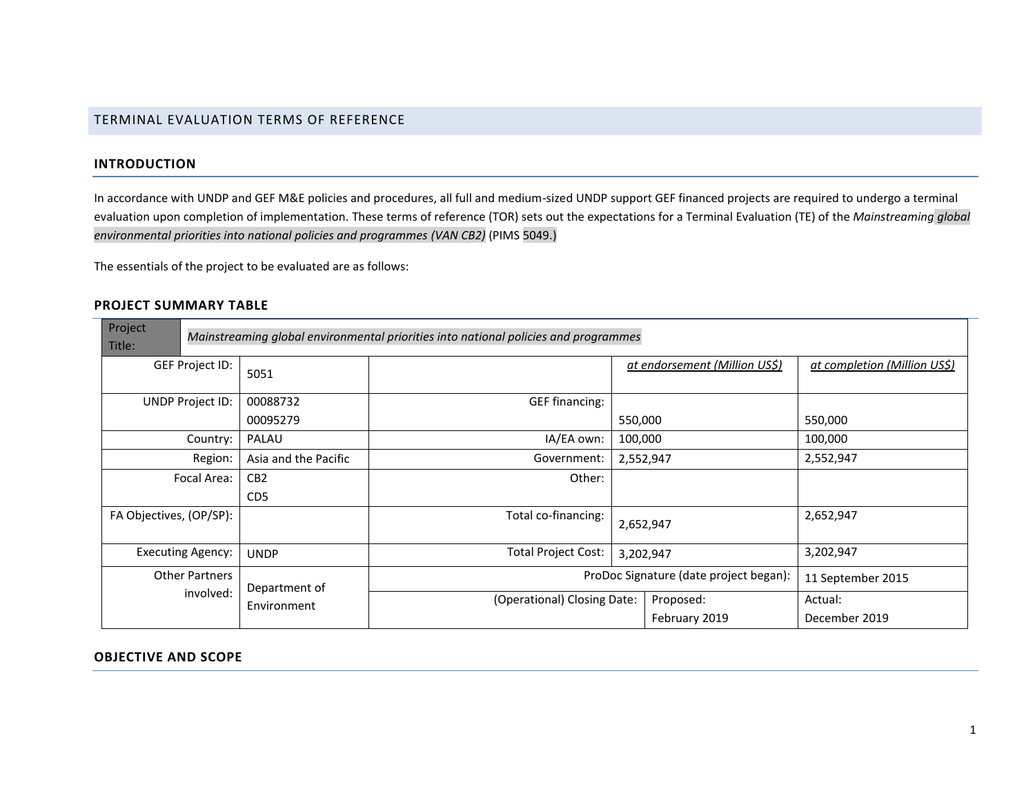## TERMINAL EVALUATION TERMS OF REFERENCE

#### **INTRODUCTION**

In accordance with UNDP and GEF M&E policies and procedures, all full and medium-sized UNDP support GEF financed projects are required to undergo a terminal evaluation upon completion of implementation. These terms of reference (TOR) sets out the expectations for a Terminal Evaluation (TE) of the *Mainstreaming global environmental priorities into national policies and programmes (VAN CB2)* (PIMS 5049.)

The essentials of the project to be evaluated are as follows:

#### **PROJECT SUMMARY TABLE**

| Project<br>Title:                  |                          |                                    | Mainstreaming global environmental priorities into national policies and programmes |           |                               |                              |
|------------------------------------|--------------------------|------------------------------------|-------------------------------------------------------------------------------------|-----------|-------------------------------|------------------------------|
|                                    | GEF Project ID:          | 5051                               |                                                                                     |           | at endorsement (Million US\$) | at completion (Million US\$) |
| UNDP Project ID:                   |                          | 00088732<br>00095279               | GEF financing:                                                                      | 550,000   |                               | 550,000                      |
| PALAU<br>Country:                  |                          |                                    | IA/EA own:                                                                          | 100,000   |                               | 100,000                      |
|                                    | Region:                  | Asia and the Pacific               | Government:                                                                         | 2,552,947 |                               | 2,552,947                    |
|                                    | Focal Area:              | CB <sub>2</sub><br>CD <sub>5</sub> | Other:                                                                              |           |                               |                              |
| FA Objectives, (OP/SP):            |                          |                                    | Total co-financing:                                                                 | 2,652,947 |                               | 2,652,947                    |
|                                    | <b>Executing Agency:</b> | <b>UNDP</b>                        | <b>Total Project Cost:</b><br>3,202,947                                             |           | 3,202,947                     |                              |
| <b>Other Partners</b><br>involved: |                          | Department of                      | ProDoc Signature (date project began):                                              |           | 11 September 2015             |                              |
|                                    |                          | Environment                        | (Operational) Closing Date:                                                         |           | Proposed:<br>February 2019    | Actual:<br>December 2019     |

#### **OBJECTIVE AND SCOPE**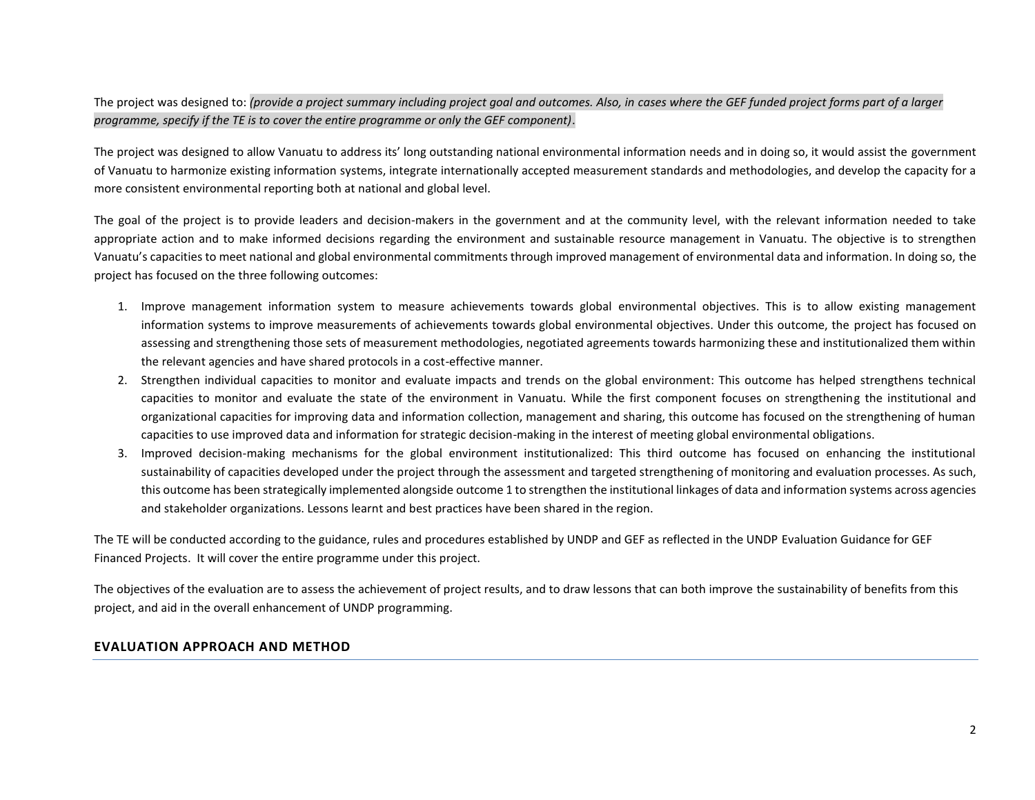The project was designed to: *(provide a project summary including project goal and outcomes. Also, in cases where the GEF funded project forms part of a larger programme, specify if the TE is to cover the entire programme or only the GEF component)*.

The project was designed to allow Vanuatu to address its' long outstanding national environmental information needs and in doing so, it would assist the government of Vanuatu to harmonize existing information systems, integrate internationally accepted measurement standards and methodologies, and develop the capacity for a more consistent environmental reporting both at national and global level.

The goal of the project is to provide leaders and decision-makers in the government and at the community level, with the relevant information needed to take appropriate action and to make informed decisions regarding the environment and sustainable resource management in Vanuatu. The objective is to strengthen Vanuatu's capacities to meet national and global environmental commitments through improved management of environmental data and information. In doing so, the project has focused on the three following outcomes:

- 1. Improve management information system to measure achievements towards global environmental objectives. This is to allow existing management information systems to improve measurements of achievements towards global environmental objectives. Under this outcome, the project has focused on assessing and strengthening those sets of measurement methodologies, negotiated agreements towards harmonizing these and institutionalized them within the relevant agencies and have shared protocols in a cost-effective manner.
- 2. Strengthen individual capacities to monitor and evaluate impacts and trends on the global environment: This outcome has helped strengthens technical capacities to monitor and evaluate the state of the environment in Vanuatu. While the first component focuses on strengthening the institutional and organizational capacities for improving data and information collection, management and sharing, this outcome has focused on the strengthening of human capacities to use improved data and information for strategic decision-making in the interest of meeting global environmental obligations.
- 3. Improved decision-making mechanisms for the global environment institutionalized: This third outcome has focused on enhancing the institutional sustainability of capacities developed under the project through the assessment and targeted strengthening of monitoring and evaluation processes. As such, this outcome has been strategically implemented alongside outcome 1 to strengthen the institutional linkages of data and information systems across agencies and stakeholder organizations. Lessons learnt and best practices have been shared in the region.

The TE will be conducted according to the guidance, rules and procedures established by UNDP and GEF as reflected in the UNDP Evaluation Guidance for GEF Financed Projects. It will cover the entire programme under this project.

The objectives of the evaluation are to assess the achievement of project results, and to draw lessons that can both improve the sustainability of benefits from this project, and aid in the overall enhancement of UNDP programming.

#### **EVALUATION APPROACH AND METHOD**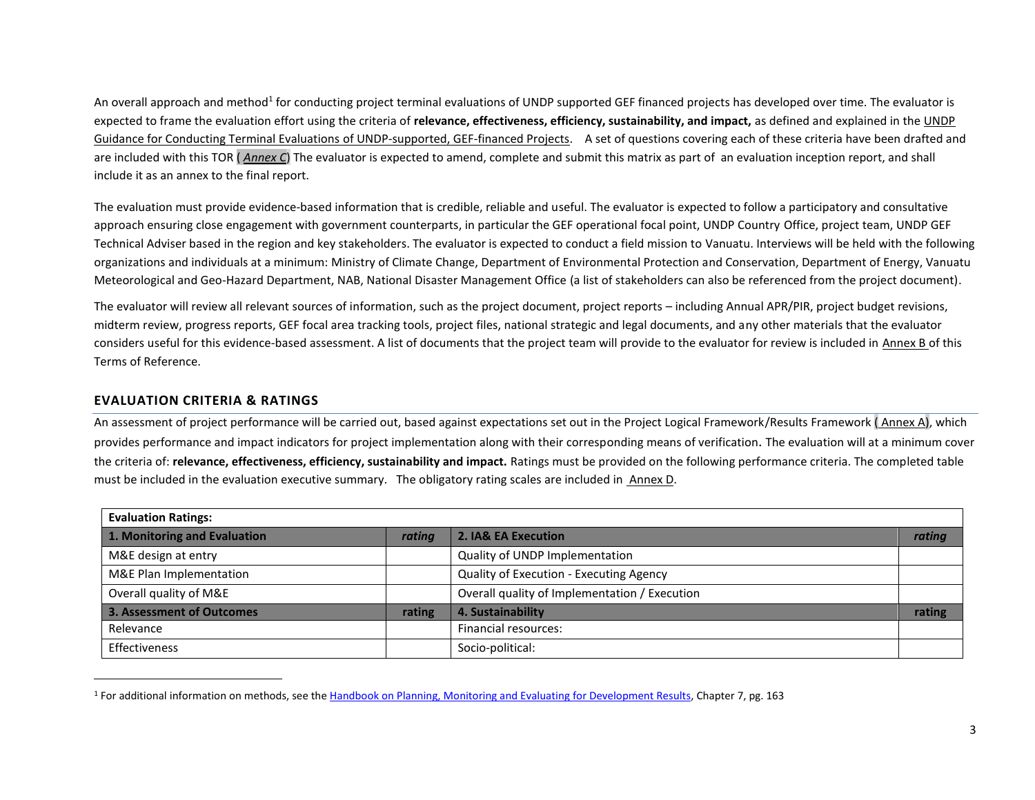An overall approach and method<sup>1</sup> for conducting project terminal evaluations of UNDP supported GEF financed projects has developed over time. The evaluator is expected to frame the evaluation effort using the criteria of **relevance, effectiveness, efficiency, sustainability, and impact,** as defined and explained in the UNDP Guidance for Conducting Terminal Evaluations of UNDP-supported, GEF-financed Projects. A set of questions covering each of these criteria have been drafted and are included with this TOR ( *Annex C*) The evaluator is expected to amend, complete and submit this matrix as part of an evaluation inception report, and shall include it as an annex to the final report.

The evaluation must provide evidence‐based information that is credible, reliable and useful. The evaluator is expected to follow a participatory and consultative approach ensuring close engagement with government counterparts, in particular the GEF operational focal point, UNDP Country Office, project team, UNDP GEF Technical Adviser based in the region and key stakeholders. The evaluator is expected to conduct a field mission to Vanuatu. Interviews will be held with the following organizations and individuals at a minimum: Ministry of Climate Change, Department of Environmental Protection and Conservation, Department of Energy, Vanuatu Meteorological and Geo-Hazard Department, NAB, National Disaster Management Office (a list of stakeholders can also be referenced from the project document).

The evaluator will review all relevant sources of information, such as the project document, project reports – including Annual APR/PIR, project budget revisions, midterm review, progress reports, GEF focal area tracking tools, project files, national strategic and legal documents, and any other materials that the evaluator considers useful for this evidence-based assessment. A list of documents that the project team will provide to the evaluator for review is included in Annex B of this Terms of Reference.

### **EVALUATION CRITERIA & RATINGS**

An assessment of project performance will be carried out, based against expectations set out in the Project Logical Framework/Results Framework ( Annex A), which provides performance and impact indicators for project implementation along with their corresponding means of verification. The evaluation will at a minimum cover the criteria of: **relevance, effectiveness, efficiency, sustainability and impact.** Ratings must be provided on the following performance criteria. The completed table must be included in the evaluation executive summary. The obligatory rating scales are included in [Annex D.](#page-15-0)

| <b>Evaluation Ratings:</b>   |        |                                               |        |  |  |  |
|------------------------------|--------|-----------------------------------------------|--------|--|--|--|
| 1. Monitoring and Evaluation | rating | 2. IA& EA Execution                           | rating |  |  |  |
| M&E design at entry          |        | Quality of UNDP Implementation                |        |  |  |  |
| M&E Plan Implementation      |        | Quality of Execution - Executing Agency       |        |  |  |  |
| Overall quality of M&E       |        | Overall quality of Implementation / Execution |        |  |  |  |
| 3. Assessment of Outcomes    | rating | 4. Sustainability                             | rating |  |  |  |
| Relevance                    |        | Financial resources:                          |        |  |  |  |
| Effectiveness                |        | Socio-political:                              |        |  |  |  |

<sup>1</sup> For additional information on methods, see th[e Handbook on Planning, Monitoring and Evaluating for Development Results,](http://www.undp.org/evaluation/handbook) Chapter 7, pg. 163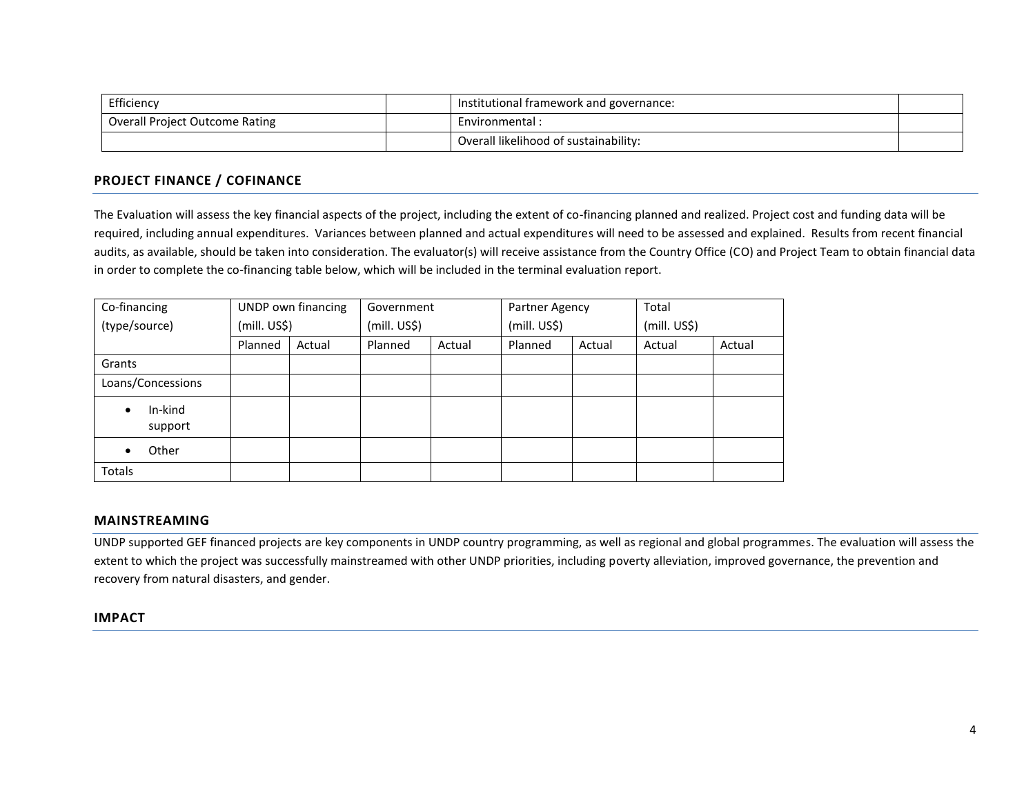| Efficiency                     | Institutional framework and governance: |  |
|--------------------------------|-----------------------------------------|--|
| Overall Project Outcome Rating | Environmental:                          |  |
|                                | Overall likelihood of sustainability:   |  |

## **PROJECT FINANCE / COFINANCE**

The Evaluation will assess the key financial aspects of the project, including the extent of co-financing planned and realized. Project cost and funding data will be required, including annual expenditures. Variances between planned and actual expenditures will need to be assessed and explained. Results from recent financial audits, as available, should be taken into consideration. The evaluator(s) will receive assistance from the Country Office (CO) and Project Team to obtain financial data in order to complete the co-financing table below, which will be included in the terminal evaluation report.

| Co-financing                    |              | UNDP own financing | Government   |        | Partner Agency |        | Total        |        |
|---------------------------------|--------------|--------------------|--------------|--------|----------------|--------|--------------|--------|
| (type/source)                   | (mill. US\$) |                    | (mill. US\$) |        | (mill. US\$)   |        | (mill. US\$) |        |
|                                 | Planned      | Actual             | Planned      | Actual | Planned        | Actual | Actual       | Actual |
| Grants                          |              |                    |              |        |                |        |              |        |
| Loans/Concessions               |              |                    |              |        |                |        |              |        |
| In-kind<br>$\bullet$<br>support |              |                    |              |        |                |        |              |        |
| Other<br>$\bullet$              |              |                    |              |        |                |        |              |        |
| Totals                          |              |                    |              |        |                |        |              |        |

#### **MAINSTREAMING**

UNDP supported GEF financed projects are key components in UNDP country programming, as well as regional and global programmes. The evaluation will assess the extent to which the project was successfully mainstreamed with other UNDP priorities, including poverty alleviation, improved governance, the prevention and recovery from natural disasters, and gender.

### **IMPACT**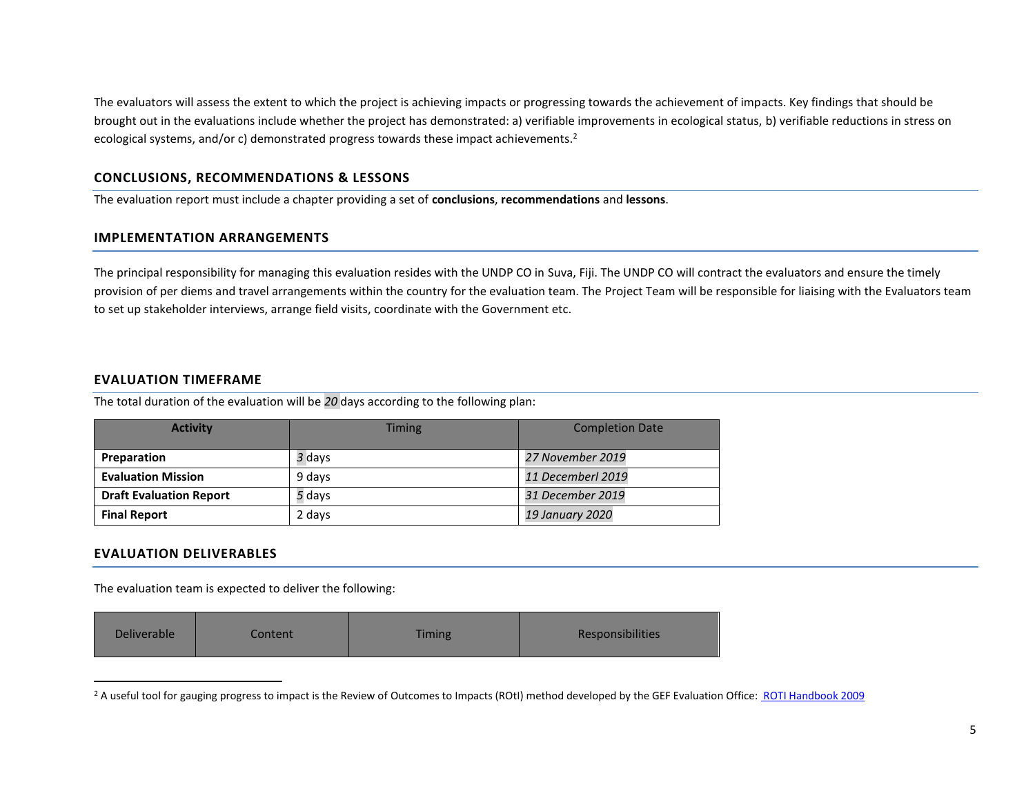The evaluators will assess the extent to which the project is achieving impacts or progressing towards the achievement of impacts. Key findings that should be brought out in the evaluations include whether the project has demonstrated: a) verifiable improvements in ecological status, b) verifiable reductions in stress on ecological systems, and/or c) demonstrated progress towards these impact achievements.<sup>2</sup>

#### **CONCLUSIONS, RECOMMENDATIONS & LESSONS**

The evaluation report must include a chapter providing a set of **conclusions**, **recommendations** and **lessons**.

#### **IMPLEMENTATION ARRANGEMENTS**

The principal responsibility for managing this evaluation resides with the UNDP CO in Suva, Fiji. The UNDP CO will contract the evaluators and ensure the timely provision of per diems and travel arrangements within the country for the evaluation team. The Project Team will be responsible for liaising with the Evaluators team to set up stakeholder interviews, arrange field visits, coordinate with the Government etc.

#### **EVALUATION TIMEFRAME**

The total duration of the evaluation will be *20* days according to the following plan:

| <b>Activity</b>                | <b>Timing</b> | <b>Completion Date</b> |  |
|--------------------------------|---------------|------------------------|--|
| Preparation                    | 3 days        | 27 November 2019       |  |
| <b>Evaluation Mission</b>      | 9 davs        | 11 Decemberl 2019      |  |
| <b>Draft Evaluation Report</b> | 5 days        | 31 December 2019       |  |
| <b>Final Report</b>            | 2 days        | 19 January 2020        |  |

### **EVALUATION DELIVERABLES**

The evaluation team is expected to deliver the following:

| Deliverable<br>Content | <b>Timing</b> | Responsibilities |
|------------------------|---------------|------------------|
|------------------------|---------------|------------------|

<sup>&</sup>lt;sup>2</sup> A useful tool for gauging progress to impact is the Review of Outcomes to Impacts (ROtI) method developed by the GEF Evaluation Office: [ROTI Handbook 2009](http://www.thegef.org/gef/sites/thegef.org/files/documents/M2_ROtI%20Handbook.pdf)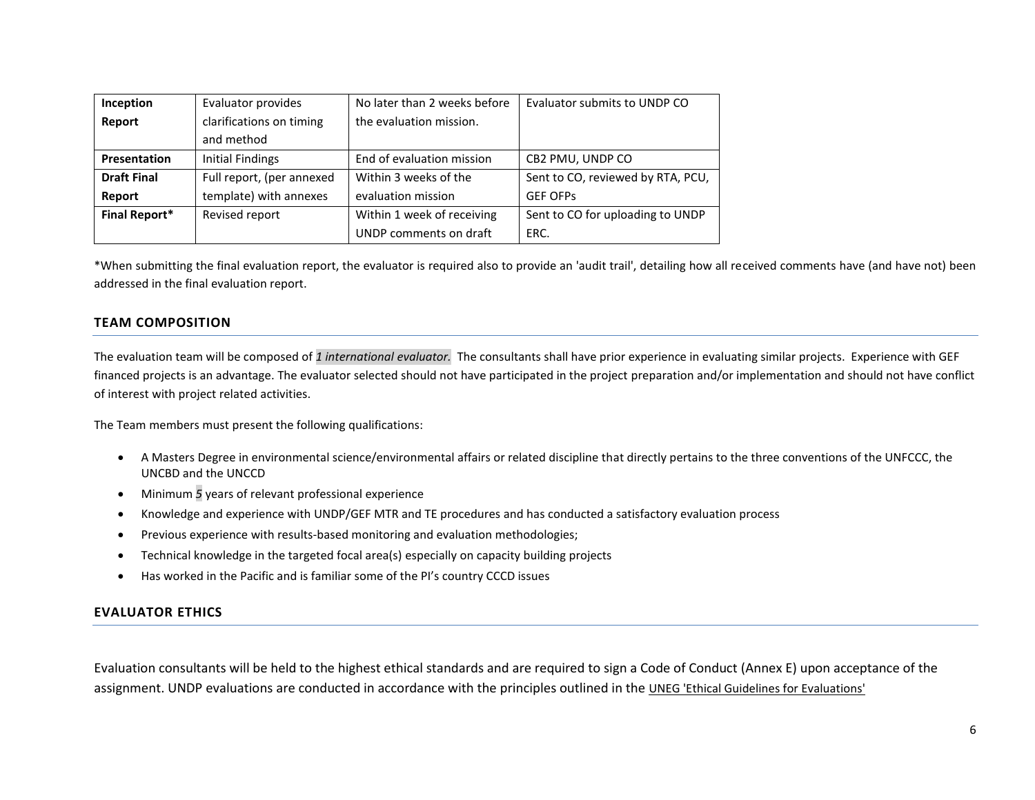| Inception            | Evaluator provides        | No later than 2 weeks before | Evaluator submits to UNDP CO      |
|----------------------|---------------------------|------------------------------|-----------------------------------|
| Report               | clarifications on timing  | the evaluation mission.      |                                   |
|                      | and method                |                              |                                   |
| <b>Presentation</b>  | <b>Initial Findings</b>   | End of evaluation mission    | CB2 PMU, UNDP CO                  |
| <b>Draft Final</b>   | Full report, (per annexed | Within 3 weeks of the        | Sent to CO, reviewed by RTA, PCU, |
| Report               | template) with annexes    | evaluation mission           | <b>GEF OFPS</b>                   |
| <b>Final Report*</b> | Revised report            | Within 1 week of receiving   | Sent to CO for uploading to UNDP  |
|                      |                           | UNDP comments on draft       | ERC.                              |

\*When submitting the final evaluation report, the evaluator is required also to provide an 'audit trail', detailing how all received comments have (and have not) been addressed in the final evaluation report.

### **TEAM COMPOSITION**

The evaluation team will be composed of *1 international evaluator.* The consultants shall have prior experience in evaluating similar projects. Experience with GEF financed projects is an advantage. The evaluator selected should not have participated in the project preparation and/or implementation and should not have conflict of interest with project related activities.

The Team members must present the following qualifications:

- A Masters Degree in environmental science/environmental affairs or related discipline that directly pertains to the three conventions of the UNFCCC, the UNCBD and the UNCCD
- Minimum *5* years of relevant professional experience
- Knowledge and experience with UNDP/GEF MTR and TE procedures and has conducted a satisfactory evaluation process
- Previous experience with results-based monitoring and evaluation methodologies;
- Technical knowledge in the targeted focal area(s) especially on capacity building projects
- Has worked in the Pacific and is familiar some of the PI's country CCCD issues

### **EVALUATOR ETHICS**

Evaluation consultants will be held to the highest ethical standards and are required to sign a Code of Conduct (Annex E) upon acceptance of the assignment. UNDP evaluations are conducted in accordance with the principles outlined in the [UNEG 'Ethical Guidelines for Evaluations'](http://www.unevaluation.org/ethicalguidelines)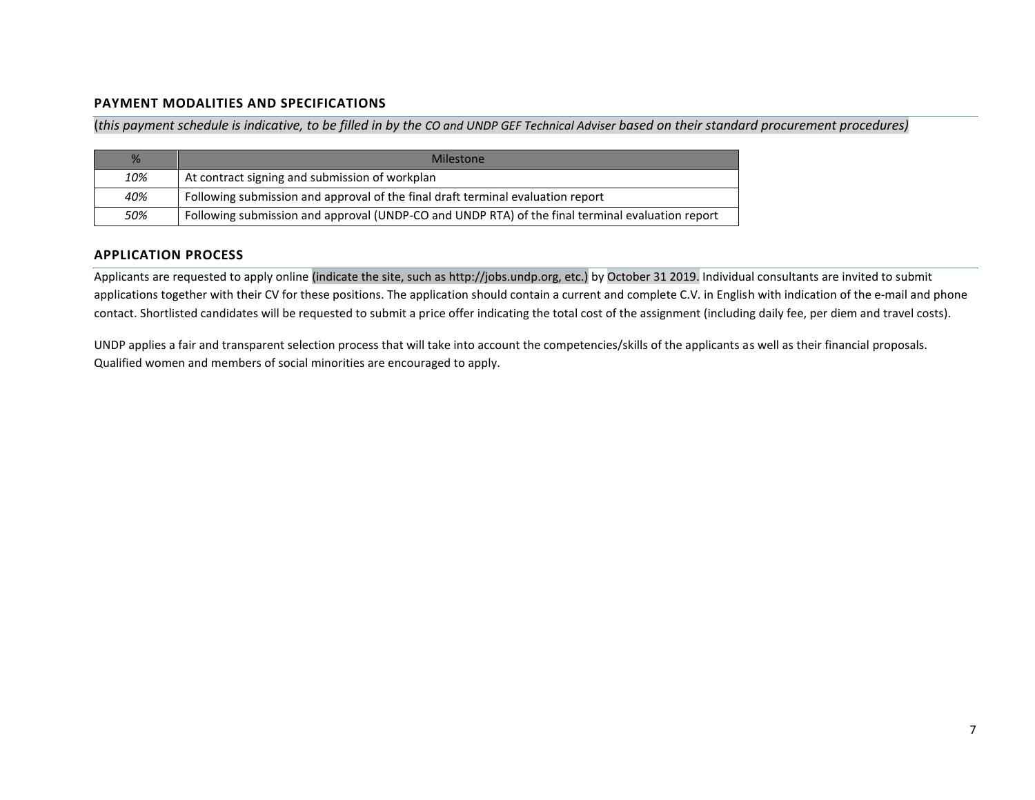## **PAYMENT MODALITIES AND SPECIFICATIONS**

(*this payment schedule is indicative, to be filled in by the CO and UNDP GEF Technical Adviser based on their standard procurement procedures)*

| %   | Milestone                                                                                        |
|-----|--------------------------------------------------------------------------------------------------|
| 10% | At contract signing and submission of workplan                                                   |
| 40% | Following submission and approval of the final draft terminal evaluation report                  |
| 50% | Following submission and approval (UNDP-CO and UNDP RTA) of the final terminal evaluation report |

## **APPLICATION PROCESS**

Applicants are requested to apply online (indicate the site, such as http://jobs.undp.org, etc.) by October 31 2019. Individual consultants are invited to submit applications together with their CV for these positions. The application should contain a current and complete C.V. in English with indication of the e-mail and phone contact. Shortlisted candidates will be requested to submit a price offer indicating the total cost of the assignment (including daily fee, per diem and travel costs).

UNDP applies a fair and transparent selection process that will take into account the competencies/skills of the applicants as well as their financial proposals. Qualified women and members of social minorities are encouraged to apply.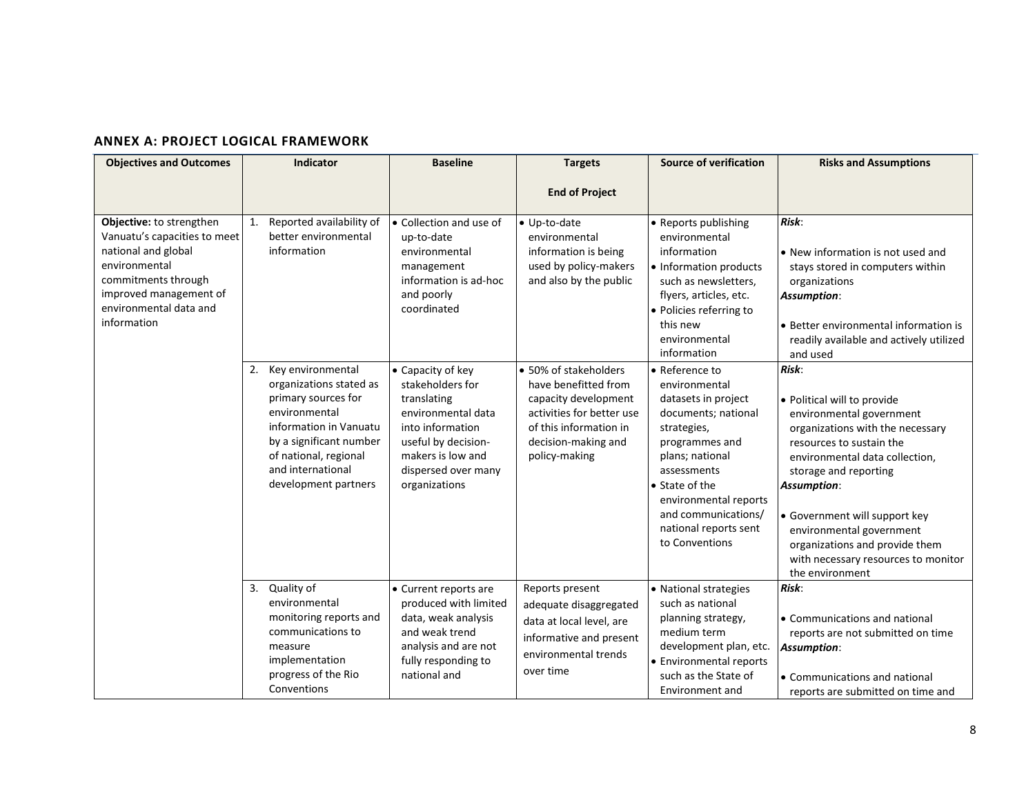# **ANNEX A: PROJECT LOGICAL FRAMEWORK**

| <b>Objectives and Outcomes</b>                                                                                                                                                             | Indicator                                                                                                                                                                                                                                                                                      | <b>Baseline</b>                                                                                                                                                                                                                                                                                                  | <b>Targets</b>                                                                                                                                                                                                                                                                   | <b>Source of verification</b>                                                                                                                                                                                                                                                                                                                                                                                                                                            | <b>Risks and Assumptions</b>                                                                                                                                                                                                                                                                                                                                                                                                                                                                                                                                              |
|--------------------------------------------------------------------------------------------------------------------------------------------------------------------------------------------|------------------------------------------------------------------------------------------------------------------------------------------------------------------------------------------------------------------------------------------------------------------------------------------------|------------------------------------------------------------------------------------------------------------------------------------------------------------------------------------------------------------------------------------------------------------------------------------------------------------------|----------------------------------------------------------------------------------------------------------------------------------------------------------------------------------------------------------------------------------------------------------------------------------|--------------------------------------------------------------------------------------------------------------------------------------------------------------------------------------------------------------------------------------------------------------------------------------------------------------------------------------------------------------------------------------------------------------------------------------------------------------------------|---------------------------------------------------------------------------------------------------------------------------------------------------------------------------------------------------------------------------------------------------------------------------------------------------------------------------------------------------------------------------------------------------------------------------------------------------------------------------------------------------------------------------------------------------------------------------|
|                                                                                                                                                                                            |                                                                                                                                                                                                                                                                                                |                                                                                                                                                                                                                                                                                                                  | <b>End of Project</b>                                                                                                                                                                                                                                                            |                                                                                                                                                                                                                                                                                                                                                                                                                                                                          |                                                                                                                                                                                                                                                                                                                                                                                                                                                                                                                                                                           |
| Objective: to strengthen<br>Vanuatu's capacities to meet<br>national and global<br>environmental<br>commitments through<br>improved management of<br>environmental data and<br>information | Reported availability of<br>1.<br>better environmental<br>information<br>Key environmental<br>2.<br>organizations stated as<br>primary sources for<br>environmental<br>information in Vanuatu<br>by a significant number<br>of national, regional<br>and international<br>development partners | • Collection and use of<br>up-to-date<br>environmental<br>management<br>information is ad-hoc<br>and poorly<br>coordinated<br>• Capacity of key<br>stakeholders for<br>translating<br>environmental data<br>into information<br>useful by decision-<br>makers is low and<br>dispersed over many<br>organizations | • Up-to-date<br>environmental<br>information is being<br>used by policy-makers<br>and also by the public<br>• 50% of stakeholders<br>have benefitted from<br>capacity development<br>activities for better use<br>of this information in<br>decision-making and<br>policy-making | • Reports publishing<br>environmental<br>information<br>• Information products<br>such as newsletters,<br>flyers, articles, etc.<br>• Policies referring to<br>this new<br>environmental<br>information<br>• Reference to<br>environmental<br>datasets in project<br>documents; national<br>strategies,<br>programmes and<br>plans; national<br>assessments<br>• State of the<br>environmental reports<br>and communications/<br>national reports sent<br>to Conventions | Risk:<br>• New information is not used and<br>stays stored in computers within<br>organizations<br>Assumption:<br>• Better environmental information is<br>readily available and actively utilized<br>and used<br>Risk:<br>• Political will to provide<br>environmental government<br>organizations with the necessary<br>resources to sustain the<br>environmental data collection,<br>storage and reporting<br><b>Assumption:</b><br>• Government will support key<br>environmental government<br>organizations and provide them<br>with necessary resources to monitor |
|                                                                                                                                                                                            |                                                                                                                                                                                                                                                                                                |                                                                                                                                                                                                                                                                                                                  |                                                                                                                                                                                                                                                                                  |                                                                                                                                                                                                                                                                                                                                                                                                                                                                          | the environment<br>Risk:                                                                                                                                                                                                                                                                                                                                                                                                                                                                                                                                                  |
|                                                                                                                                                                                            | 3. Quality of<br>environmental<br>monitoring reports and<br>communications to<br>measure<br>implementation<br>progress of the Rio<br>Conventions                                                                                                                                               | • Current reports are<br>produced with limited<br>data, weak analysis<br>and weak trend<br>analysis and are not<br>fully responding to<br>national and                                                                                                                                                           | Reports present<br>adequate disaggregated<br>data at local level, are<br>informative and present<br>environmental trends<br>over time                                                                                                                                            | • National strategies<br>such as national<br>planning strategy,<br>medium term<br>development plan, etc.<br>• Environmental reports<br>such as the State of<br>Environment and                                                                                                                                                                                                                                                                                           | • Communications and national<br>reports are not submitted on time<br><b>Assumption:</b><br>• Communications and national<br>reports are submitted on time and                                                                                                                                                                                                                                                                                                                                                                                                            |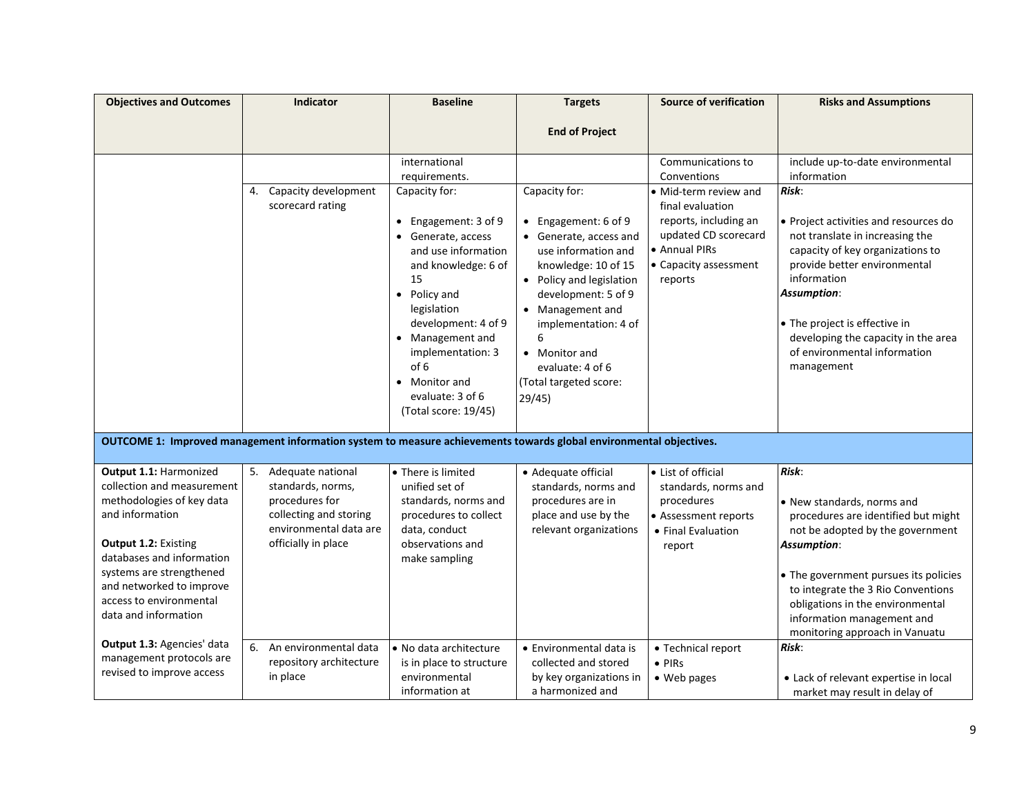| <b>Objectives and Outcomes</b>                         | <b>Indicator</b>                                                                                                   | <b>Baseline</b>                       | <b>Targets</b>           | <b>Source of verification</b>             | <b>Risks and Assumptions</b>                                         |
|--------------------------------------------------------|--------------------------------------------------------------------------------------------------------------------|---------------------------------------|--------------------------|-------------------------------------------|----------------------------------------------------------------------|
|                                                        |                                                                                                                    |                                       | <b>End of Project</b>    |                                           |                                                                      |
|                                                        |                                                                                                                    |                                       |                          |                                           |                                                                      |
|                                                        |                                                                                                                    | international                         |                          | Communications to                         | include up-to-date environmental                                     |
|                                                        |                                                                                                                    | requirements.                         |                          | Conventions                               | information                                                          |
|                                                        | Capacity development<br>4.<br>scorecard rating                                                                     | Capacity for:                         | Capacity for:            | • Mid-term review and<br>final evaluation | Risk:                                                                |
|                                                        |                                                                                                                    | • Engagement: 3 of 9                  | • Engagement: 6 of 9     | reports, including an                     | • Project activities and resources do                                |
|                                                        |                                                                                                                    | • Generate, access                    | • Generate, access and   | updated CD scorecard                      | not translate in increasing the                                      |
|                                                        |                                                                                                                    | and use information                   | use information and      | • Annual PIRs                             | capacity of key organizations to                                     |
|                                                        |                                                                                                                    | and knowledge: 6 of                   | knowledge: 10 of 15      | • Capacity assessment                     | provide better environmental                                         |
|                                                        |                                                                                                                    | 15                                    | • Policy and legislation | reports                                   | information                                                          |
|                                                        |                                                                                                                    | • Policy and                          | development: 5 of 9      |                                           | Assumption:                                                          |
|                                                        |                                                                                                                    | legislation                           | • Management and         |                                           |                                                                      |
|                                                        |                                                                                                                    | development: 4 of 9                   | implementation: 4 of     |                                           | • The project is effective in<br>developing the capacity in the area |
|                                                        |                                                                                                                    | • Management and<br>implementation: 3 | 6<br>• Monitor and       |                                           | of environmental information                                         |
|                                                        |                                                                                                                    | of 6                                  | evaluate: 4 of 6         |                                           | management                                                           |
|                                                        |                                                                                                                    | • Monitor and                         | (Total targeted score:   |                                           |                                                                      |
|                                                        |                                                                                                                    | evaluate: 3 of 6                      | 29/45)                   |                                           |                                                                      |
|                                                        |                                                                                                                    | (Total score: 19/45)                  |                          |                                           |                                                                      |
|                                                        |                                                                                                                    |                                       |                          |                                           |                                                                      |
|                                                        | OUTCOME 1: Improved management information system to measure achievements towards global environmental objectives. |                                       |                          |                                           |                                                                      |
| Output 1.1: Harmonized                                 | 5.<br>Adequate national                                                                                            | • There is limited                    | • Adequate official      | • List of official                        | Risk:                                                                |
| collection and measurement                             | standards, norms,                                                                                                  | unified set of                        | standards, norms and     | standards, norms and                      |                                                                      |
| methodologies of key data                              | procedures for                                                                                                     | standards, norms and                  | procedures are in        | procedures                                | • New standards, norms and                                           |
| and information                                        | collecting and storing<br>environmental data are                                                                   | procedures to collect                 | place and use by the     | • Assessment reports                      | procedures are identified but might                                  |
| Output 1.2: Existing                                   | officially in place                                                                                                | data, conduct<br>observations and     | relevant organizations   | • Final Evaluation                        | not be adopted by the government<br>Assumption:                      |
| databases and information                              |                                                                                                                    | make sampling                         |                          | report                                    |                                                                      |
| systems are strengthened                               |                                                                                                                    |                                       |                          |                                           | • The government pursues its policies                                |
| and networked to improve                               |                                                                                                                    |                                       |                          |                                           | to integrate the 3 Rio Conventions                                   |
| access to environmental                                |                                                                                                                    |                                       |                          |                                           | obligations in the environmental                                     |
| data and information                                   |                                                                                                                    |                                       |                          |                                           | information management and                                           |
|                                                        |                                                                                                                    |                                       |                          |                                           | monitoring approach in Vanuatu                                       |
| Output 1.3: Agencies' data<br>management protocols are | An environmental data<br>6.                                                                                        | • No data architecture                | • Environmental data is  | • Technical report                        | Risk:                                                                |
| revised to improve access                              | repository architecture                                                                                            | is in place to structure              | collected and stored     | $\bullet$ PIRs                            |                                                                      |
|                                                        | in place                                                                                                           | environmental                         | by key organizations in  | • Web pages                               | • Lack of relevant expertise in local                                |
|                                                        |                                                                                                                    | information at                        | a harmonized and         |                                           | market may result in delay of                                        |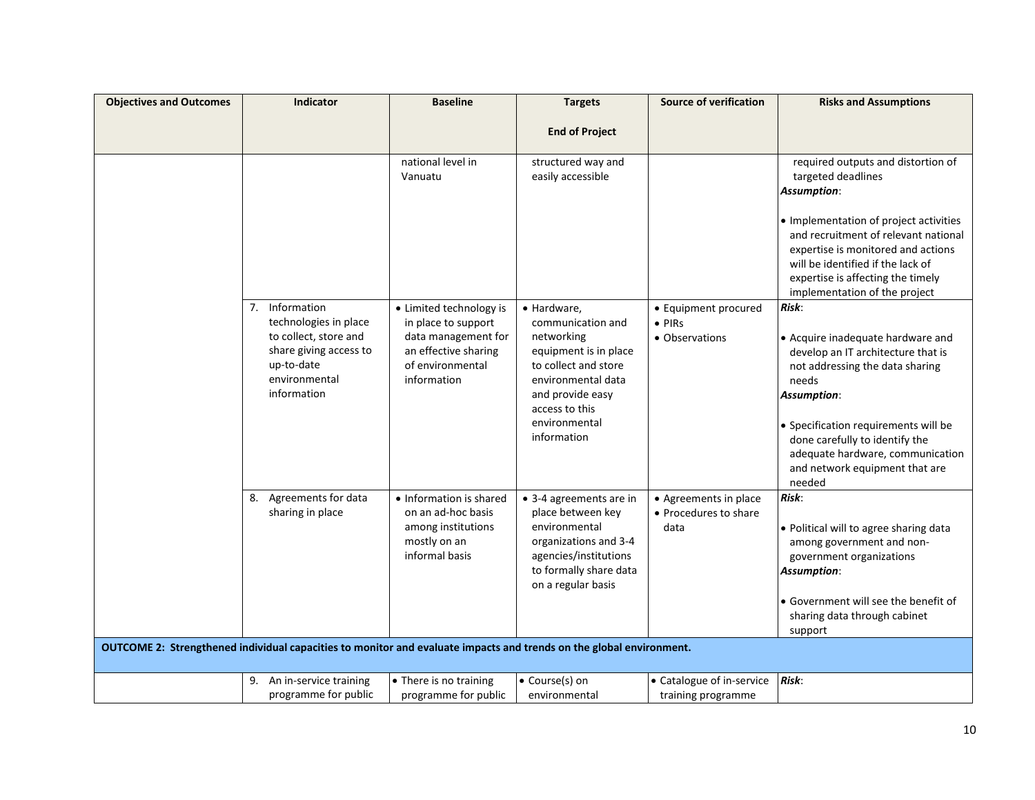| <b>Objectives and Outcomes</b> | <b>Indicator</b>                                                                                                    | <b>Baseline</b>                                                                | <b>Targets</b>                                                                                                                                          | <b>Source of verification</b>          | <b>Risks and Assumptions</b>                                                                                                                                                                                                                                                                 |
|--------------------------------|---------------------------------------------------------------------------------------------------------------------|--------------------------------------------------------------------------------|---------------------------------------------------------------------------------------------------------------------------------------------------------|----------------------------------------|----------------------------------------------------------------------------------------------------------------------------------------------------------------------------------------------------------------------------------------------------------------------------------------------|
|                                |                                                                                                                     |                                                                                | <b>End of Project</b>                                                                                                                                   |                                        |                                                                                                                                                                                                                                                                                              |
|                                |                                                                                                                     |                                                                                |                                                                                                                                                         |                                        |                                                                                                                                                                                                                                                                                              |
|                                |                                                                                                                     | national level in                                                              | structured way and                                                                                                                                      |                                        | required outputs and distortion of                                                                                                                                                                                                                                                           |
|                                |                                                                                                                     | Vanuatu                                                                        | easily accessible                                                                                                                                       |                                        | targeted deadlines                                                                                                                                                                                                                                                                           |
|                                |                                                                                                                     |                                                                                |                                                                                                                                                         |                                        | Assumption:                                                                                                                                                                                                                                                                                  |
|                                |                                                                                                                     |                                                                                |                                                                                                                                                         |                                        | • Implementation of project activities<br>and recruitment of relevant national<br>expertise is monitored and actions<br>will be identified if the lack of<br>expertise is affecting the timely                                                                                               |
|                                |                                                                                                                     |                                                                                |                                                                                                                                                         |                                        | implementation of the project                                                                                                                                                                                                                                                                |
|                                | 7. Information<br>technologies in place                                                                             | • Limited technology is<br>in place to support                                 | • Hardware,<br>communication and                                                                                                                        | • Equipment procured<br>$\bullet$ PIRs | Risk:                                                                                                                                                                                                                                                                                        |
|                                | to collect, store and<br>share giving access to<br>up-to-date<br>environmental<br>information                       | data management for<br>an effective sharing<br>of environmental<br>information | networking<br>equipment is in place<br>to collect and store<br>environmental data<br>and provide easy<br>access to this<br>environmental<br>information | • Observations                         | • Acquire inadequate hardware and<br>develop an IT architecture that is<br>not addressing the data sharing<br>needs<br>Assumption:<br>• Specification requirements will be<br>done carefully to identify the<br>adequate hardware, communication<br>and network equipment that are<br>needed |
|                                | Agreements for data<br>8.                                                                                           | • Information is shared                                                        | • 3-4 agreements are in                                                                                                                                 | • Agreements in place                  | Risk:                                                                                                                                                                                                                                                                                        |
|                                | sharing in place                                                                                                    | on an ad-hoc basis<br>among institutions<br>mostly on an<br>informal basis     | place between key<br>environmental<br>organizations and 3-4<br>agencies/institutions<br>to formally share data<br>on a regular basis                    | • Procedures to share<br>data          | · Political will to agree sharing data<br>among government and non-<br>government organizations<br><b>Assumption:</b>                                                                                                                                                                        |
|                                |                                                                                                                     |                                                                                |                                                                                                                                                         |                                        | • Government will see the benefit of                                                                                                                                                                                                                                                         |
|                                |                                                                                                                     |                                                                                |                                                                                                                                                         |                                        | sharing data through cabinet                                                                                                                                                                                                                                                                 |
|                                |                                                                                                                     |                                                                                |                                                                                                                                                         |                                        | support                                                                                                                                                                                                                                                                                      |
|                                | OUTCOME 2: Strengthened individual capacities to monitor and evaluate impacts and trends on the global environment. |                                                                                |                                                                                                                                                         |                                        |                                                                                                                                                                                                                                                                                              |
|                                | 9. An in-service training                                                                                           | • There is no training                                                         | • Course(s) on                                                                                                                                          | • Catalogue of in-service              | Risk:                                                                                                                                                                                                                                                                                        |
|                                | programme for public                                                                                                | programme for public                                                           | environmental                                                                                                                                           | training programme                     |                                                                                                                                                                                                                                                                                              |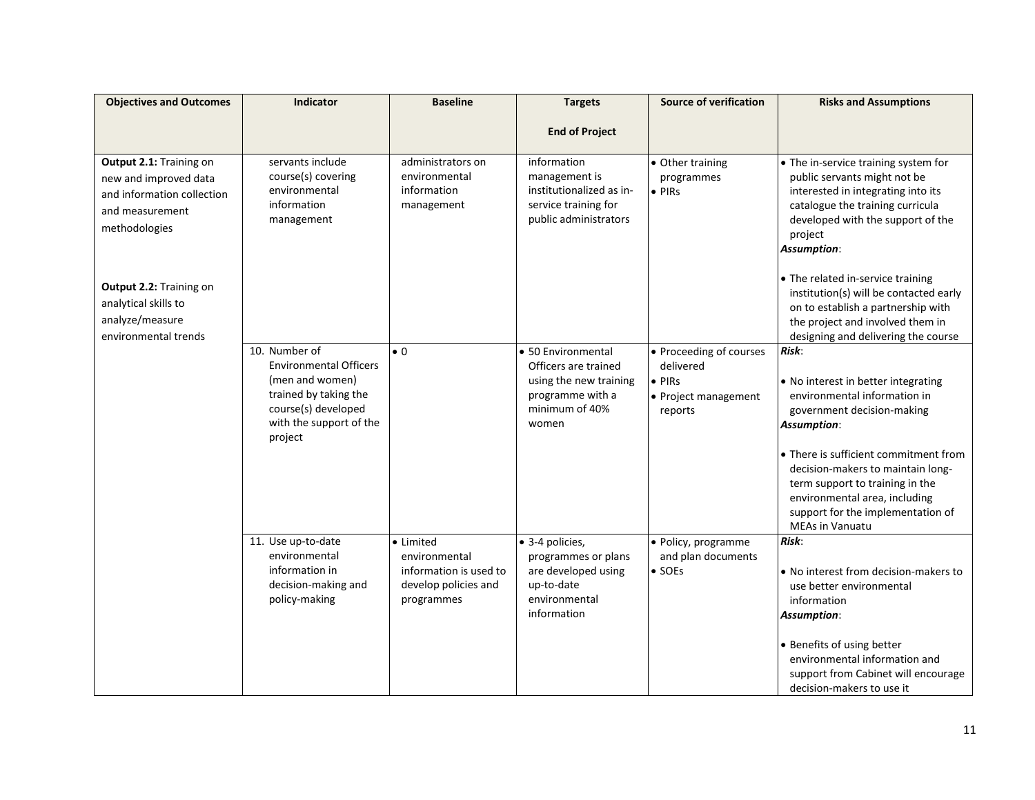| <b>Objectives and Outcomes</b>                                                                                     | Indicator                                                                                                                                               | <b>Baseline</b>                                                                            | <b>Targets</b>                                                                                                      | <b>Source of verification</b>                                                             | <b>Risks and Assumptions</b>                                                                                                                                                                                                                                                                                                                      |
|--------------------------------------------------------------------------------------------------------------------|---------------------------------------------------------------------------------------------------------------------------------------------------------|--------------------------------------------------------------------------------------------|---------------------------------------------------------------------------------------------------------------------|-------------------------------------------------------------------------------------------|---------------------------------------------------------------------------------------------------------------------------------------------------------------------------------------------------------------------------------------------------------------------------------------------------------------------------------------------------|
|                                                                                                                    |                                                                                                                                                         |                                                                                            |                                                                                                                     |                                                                                           |                                                                                                                                                                                                                                                                                                                                                   |
|                                                                                                                    |                                                                                                                                                         |                                                                                            | <b>End of Project</b>                                                                                               |                                                                                           |                                                                                                                                                                                                                                                                                                                                                   |
| Output 2.1: Training on<br>new and improved data<br>and information collection<br>and measurement<br>methodologies | servants include<br>course(s) covering<br>environmental<br>information<br>management                                                                    | administrators on<br>environmental<br>information<br>management                            | information<br>management is<br>institutionalized as in-<br>service training for<br>public administrators           | • Other training<br>programmes<br>$\bullet$ PIRs                                          | • The in-service training system for<br>public servants might not be<br>interested in integrating into its<br>catalogue the training curricula<br>developed with the support of the<br>project<br><b>Assumption:</b>                                                                                                                              |
| Output 2.2: Training on<br>analytical skills to<br>analyze/measure<br>environmental trends                         |                                                                                                                                                         |                                                                                            |                                                                                                                     |                                                                                           | • The related in-service training<br>institution(s) will be contacted early<br>on to establish a partnership with<br>the project and involved them in<br>designing and delivering the course                                                                                                                                                      |
|                                                                                                                    | 10. Number of<br><b>Environmental Officers</b><br>(men and women)<br>trained by taking the<br>course(s) developed<br>with the support of the<br>project | $\bullet$ 0                                                                                | • 50 Environmental<br>Officers are trained<br>using the new training<br>programme with a<br>minimum of 40%<br>women | • Proceeding of courses<br>delivered<br>$\bullet$ PIRs<br>• Project management<br>reports | Risk:<br>• No interest in better integrating<br>environmental information in<br>government decision-making<br><b>Assumption:</b><br>• There is sufficient commitment from<br>decision-makers to maintain long-<br>term support to training in the<br>environmental area, including<br>support for the implementation of<br><b>MEAs in Vanuatu</b> |
|                                                                                                                    | 11. Use up-to-date<br>environmental<br>information in<br>decision-making and<br>policy-making                                                           | • Limited<br>environmental<br>information is used to<br>develop policies and<br>programmes | · 3-4 policies,<br>programmes or plans<br>are developed using<br>up-to-date<br>environmental<br>information         | · Policy, programme<br>and plan documents<br>$\bullet$ SOEs                               | Risk:<br>• No interest from decision-makers to<br>use better environmental<br>information<br><b>Assumption:</b><br>• Benefits of using better<br>environmental information and<br>support from Cabinet will encourage<br>decision-makers to use it                                                                                                |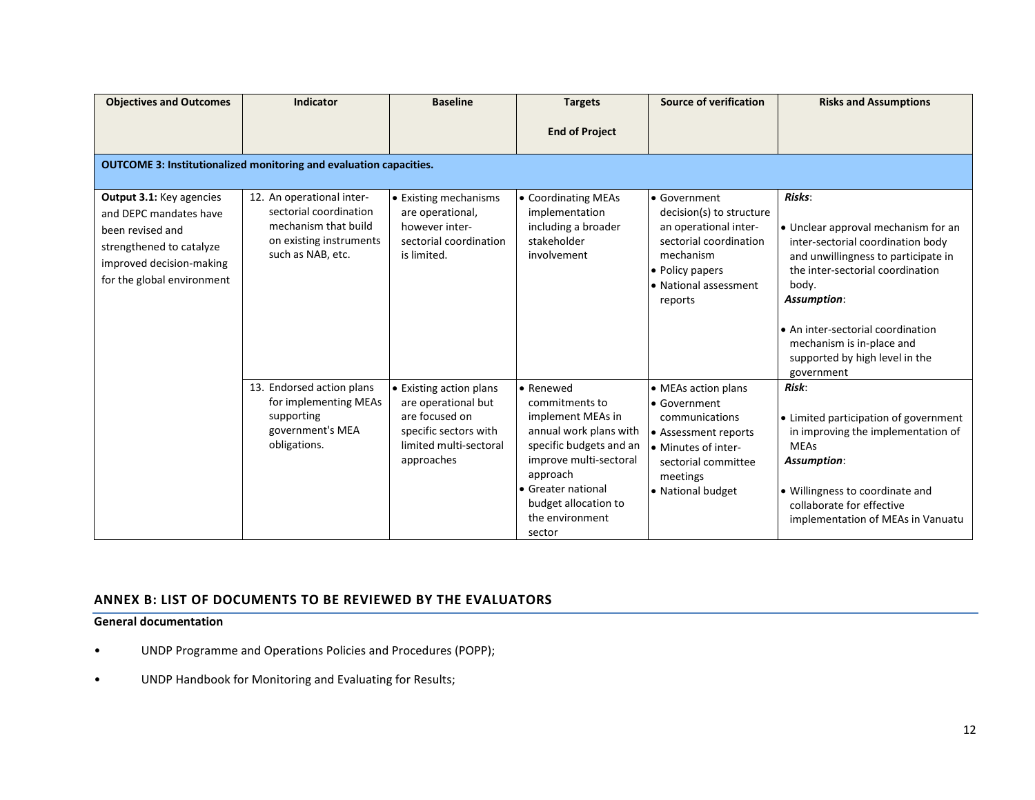| <b>Objectives and Outcomes</b>                                                                                                                               | <b>Indicator</b>                                                                                                            | <b>Baseline</b>                                                                                                                   | <b>Targets</b>                                                                                                                                                                                                          | <b>Source of verification</b>                                                                                                                                   | <b>Risks and Assumptions</b>                                                                                                                                                                                                                                                                            |  |
|--------------------------------------------------------------------------------------------------------------------------------------------------------------|-----------------------------------------------------------------------------------------------------------------------------|-----------------------------------------------------------------------------------------------------------------------------------|-------------------------------------------------------------------------------------------------------------------------------------------------------------------------------------------------------------------------|-----------------------------------------------------------------------------------------------------------------------------------------------------------------|---------------------------------------------------------------------------------------------------------------------------------------------------------------------------------------------------------------------------------------------------------------------------------------------------------|--|
|                                                                                                                                                              |                                                                                                                             |                                                                                                                                   | <b>End of Project</b>                                                                                                                                                                                                   |                                                                                                                                                                 |                                                                                                                                                                                                                                                                                                         |  |
|                                                                                                                                                              | <b>OUTCOME 3: Institutionalized monitoring and evaluation capacities.</b>                                                   |                                                                                                                                   |                                                                                                                                                                                                                         |                                                                                                                                                                 |                                                                                                                                                                                                                                                                                                         |  |
| Output 3.1: Key agencies<br>and DEPC mandates have<br>been revised and<br>strengthened to catalyze<br>improved decision-making<br>for the global environment | 12. An operational inter-<br>sectorial coordination<br>mechanism that build<br>on existing instruments<br>such as NAB, etc. | • Existing mechanisms<br>are operational,<br>however inter-<br>sectorial coordination<br>is limited.                              | • Coordinating MEAs<br>implementation<br>including a broader<br>stakeholder<br>involvement                                                                                                                              | • Government<br>decision(s) to structure<br>an operational inter-<br>sectorial coordination<br>mechanism<br>• Policy papers<br>• National assessment<br>reports | Risks:<br>• Unclear approval mechanism for an<br>inter-sectorial coordination body<br>and unwillingness to participate in<br>the inter-sectorial coordination<br>body.<br>Assumption:<br>• An inter-sectorial coordination<br>mechanism is in-place and<br>supported by high level in the<br>government |  |
|                                                                                                                                                              | 13. Endorsed action plans<br>for implementing MEAs<br>supporting<br>government's MEA<br>obligations.                        | • Existing action plans<br>are operational but<br>are focused on<br>specific sectors with<br>limited multi-sectoral<br>approaches | l• Renewed<br>commitments to<br>implement MEAs in<br>annual work plans with<br>specific budgets and an<br>improve multi-sectoral<br>approach<br>• Greater national<br>budget allocation to<br>the environment<br>sector | • MEAs action plans<br>• Government<br>communications<br>• Assessment reports<br>• Minutes of inter-<br>sectorial committee<br>meetings<br>• National budget    | Risk:<br>• Limited participation of government<br>in improving the implementation of<br><b>MEAs</b><br>Assumption:<br>• Willingness to coordinate and<br>collaborate for effective<br>implementation of MEAs in Vanuatu                                                                                 |  |

## **ANNEX B: LIST OF DOCUMENTS TO BE REVIEWED BY THE EVALUATORS**

## **General documentation**

- UNDP Programme and Operations Policies and Procedures (POPP);
- UNDP Handbook for Monitoring and Evaluating for Results;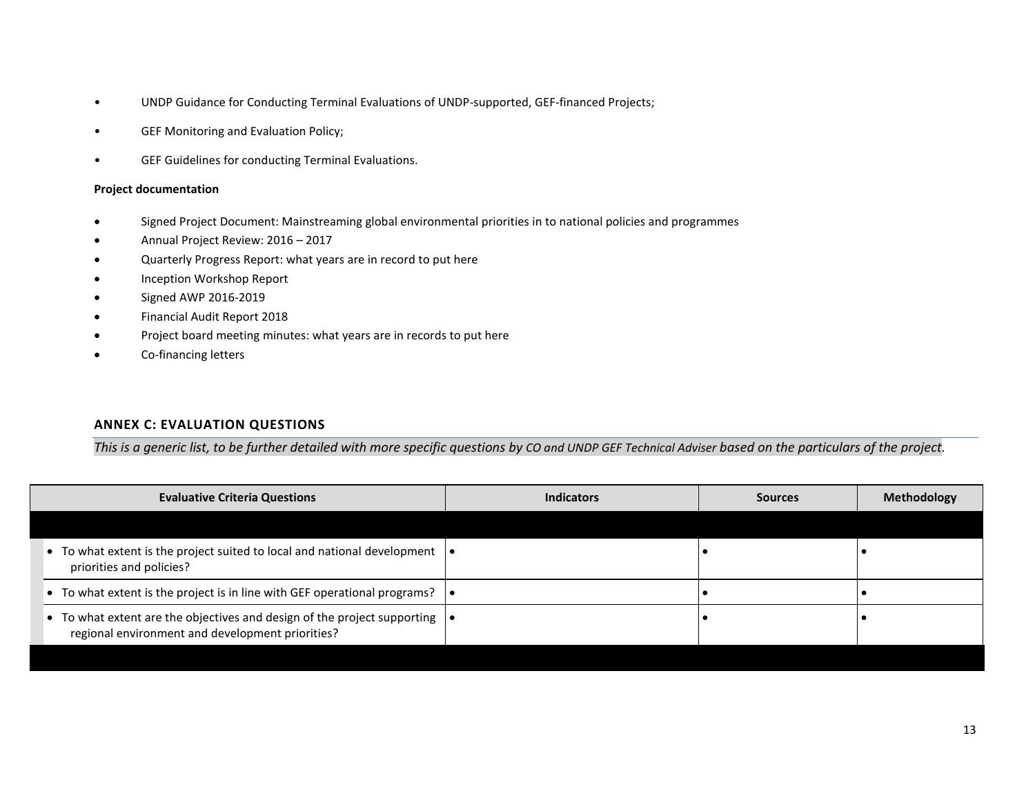- UNDP Guidance for Conducting Terminal Evaluations of UNDP-supported, GEF-financed Projects;
- GEF Monitoring and Evaluation Policy;
- GEF Guidelines for conducting Terminal Evaluations.

#### **Project documentation**

- Signed Project Document: Mainstreaming global environmental priorities in to national policies and programmes
- Annual Project Review: 2016 2017
- Quarterly Progress Report: what years are in record to put here
- Inception Workshop Report
- Signed AWP 2016-2019
- Financial Audit Report 2018
- Project board meeting minutes: what years are in records to put here
- Co-financing letters

### **ANNEX C: EVALUATION QUESTIONS**

*This is a generic list, to be further detailed with more specific questions by CO and UNDP GEF Technical Adviser based on the particulars of the project.*

| <b>Evaluative Criteria Questions</b>                                                                                                       | <b>Indicators</b> | <b>Sources</b> | <b>Methodology</b> |
|--------------------------------------------------------------------------------------------------------------------------------------------|-------------------|----------------|--------------------|
|                                                                                                                                            |                   |                |                    |
| • To what extent is the project suited to local and national development $\mathbf{\cdot}$<br>priorities and policies?                      |                   |                |                    |
| • To what extent is the project is in line with GEF operational programs? $\vert \bullet \vert$                                            |                   |                |                    |
| • To what extent are the objectives and design of the project supporting $  \bullet  $<br>regional environment and development priorities? |                   |                |                    |
|                                                                                                                                            |                   |                |                    |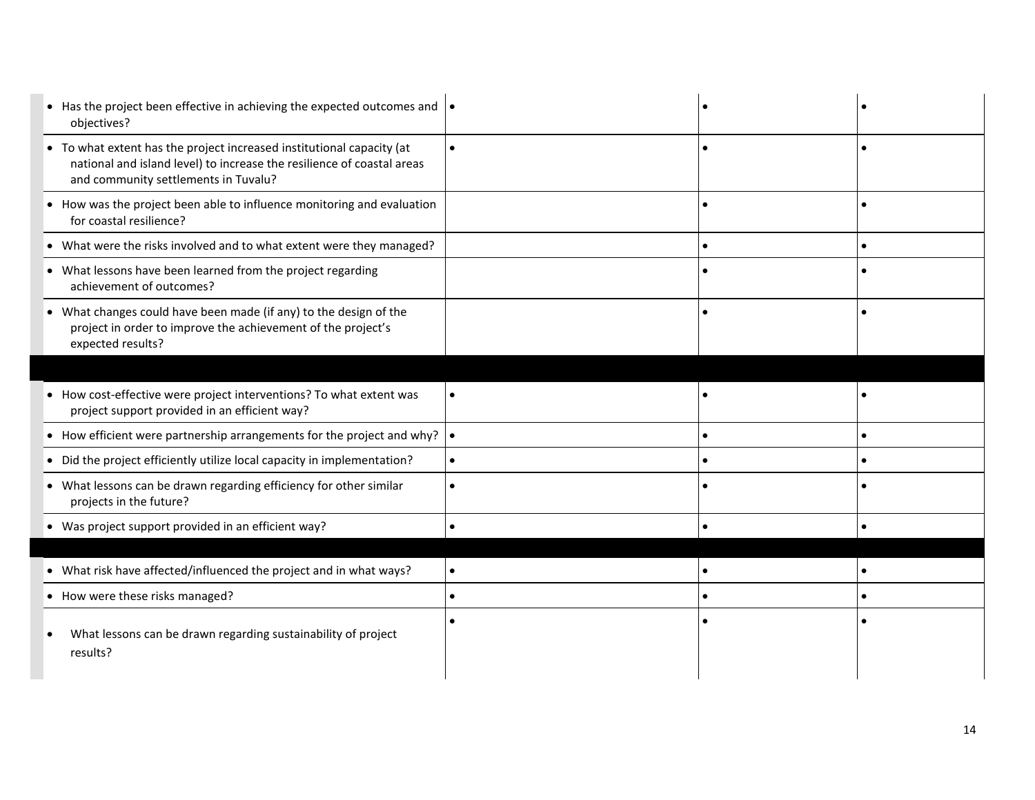| • Has the project been effective in achieving the expected outcomes and $\vert \bullet \vert$<br>objectives?                                                                            |           |           |  |
|-----------------------------------------------------------------------------------------------------------------------------------------------------------------------------------------|-----------|-----------|--|
| • To what extent has the project increased institutional capacity (at<br>national and island level) to increase the resilience of coastal areas<br>and community settlements in Tuvalu? | $\bullet$ |           |  |
| • How was the project been able to influence monitoring and evaluation<br>for coastal resilience?                                                                                       |           |           |  |
| • What were the risks involved and to what extent were they managed?                                                                                                                    |           | $\bullet$ |  |
| • What lessons have been learned from the project regarding<br>achievement of outcomes?                                                                                                 |           |           |  |
| • What changes could have been made (if any) to the design of the<br>project in order to improve the achievement of the project's<br>expected results?                                  |           |           |  |
|                                                                                                                                                                                         |           |           |  |
| • How cost-effective were project interventions? To what extent was<br>project support provided in an efficient way?                                                                    | $\bullet$ |           |  |
| • How efficient were partnership arrangements for the project and why?                                                                                                                  | $\bullet$ |           |  |
| • Did the project efficiently utilize local capacity in implementation?                                                                                                                 | $\bullet$ |           |  |
| • What lessons can be drawn regarding efficiency for other similar<br>projects in the future?                                                                                           | $\bullet$ |           |  |
| • Was project support provided in an efficient way?                                                                                                                                     | $\bullet$ |           |  |
|                                                                                                                                                                                         |           |           |  |
| • What risk have affected/influenced the project and in what ways?                                                                                                                      | $\bullet$ |           |  |
| • How were these risks managed?                                                                                                                                                         | $\bullet$ |           |  |
| What lessons can be drawn regarding sustainability of project<br>results?                                                                                                               |           |           |  |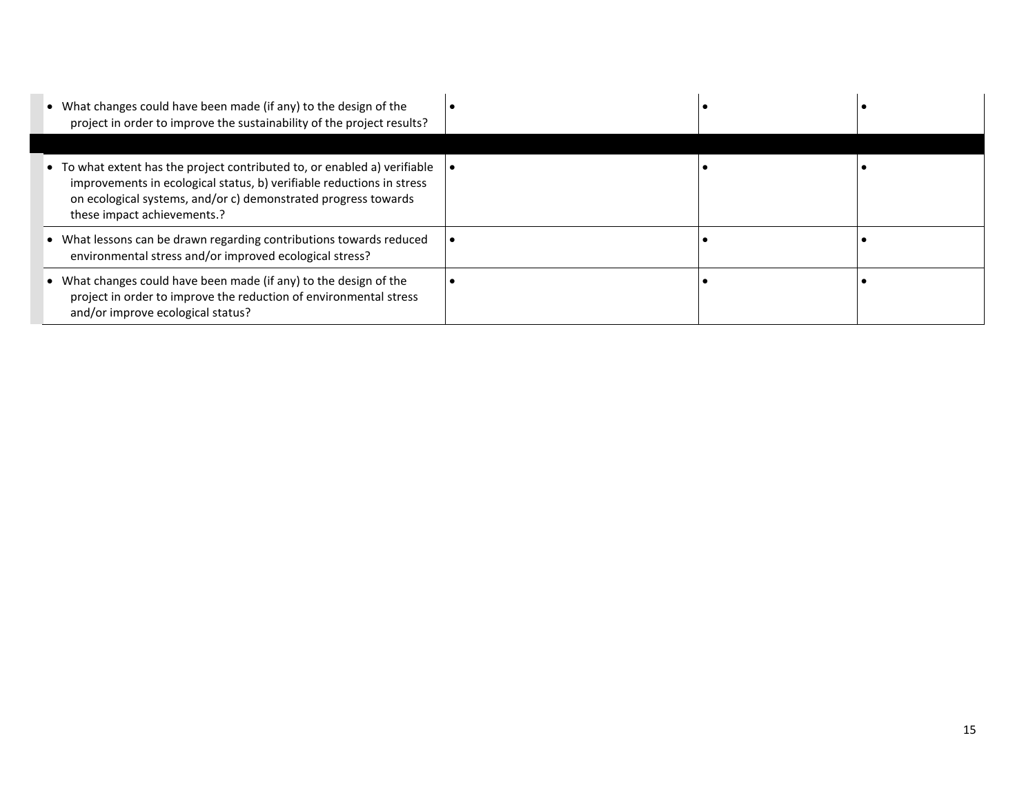| • What changes could have been made (if any) to the design of the<br>project in order to improve the sustainability of the project results?                                                                                                         |  |  |
|-----------------------------------------------------------------------------------------------------------------------------------------------------------------------------------------------------------------------------------------------------|--|--|
|                                                                                                                                                                                                                                                     |  |  |
| • To what extent has the project contributed to, or enabled a) verifiable<br>improvements in ecological status, b) verifiable reductions in stress<br>on ecological systems, and/or c) demonstrated progress towards<br>these impact achievements.? |  |  |
| • What lessons can be drawn regarding contributions towards reduced<br>environmental stress and/or improved ecological stress?                                                                                                                      |  |  |
| • What changes could have been made (if any) to the design of the<br>project in order to improve the reduction of environmental stress<br>and/or improve ecological status?                                                                         |  |  |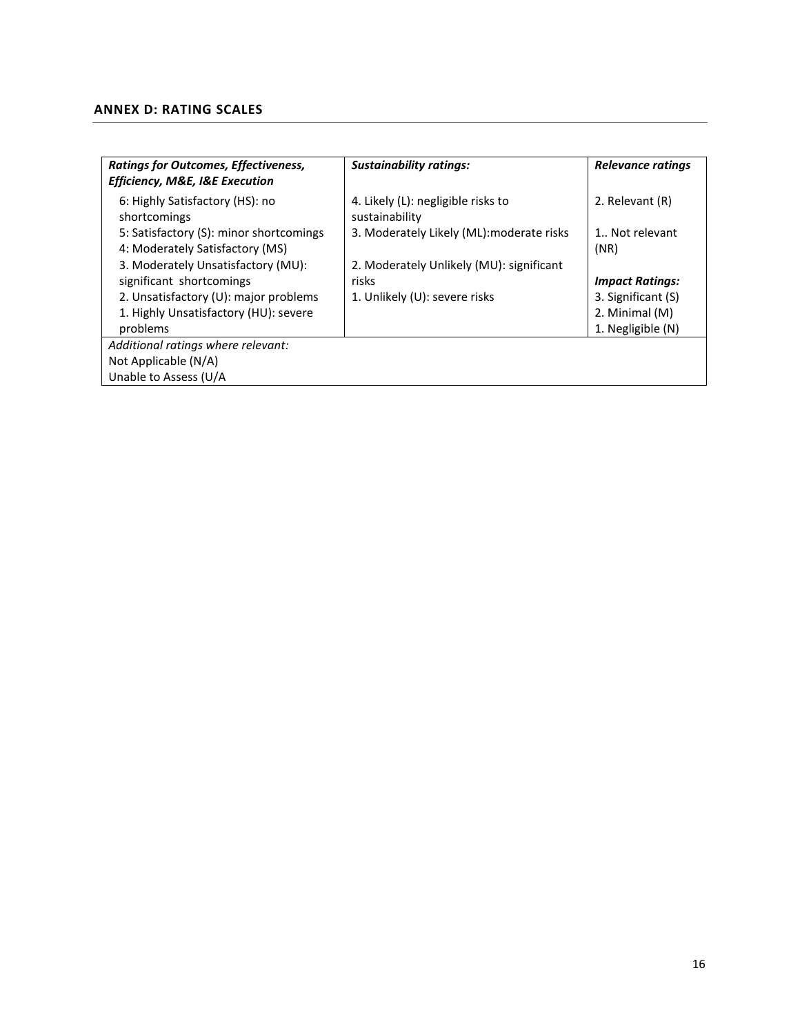## <span id="page-15-0"></span>**ANNEX D: RATING SCALES**

| <b>Ratings for Outcomes, Effectiveness,</b><br><b>Efficiency, M&amp;E, I&amp;E Execution</b> | <b>Sustainability ratings:</b>                       | Relevance ratings      |  |  |
|----------------------------------------------------------------------------------------------|------------------------------------------------------|------------------------|--|--|
| 6: Highly Satisfactory (HS): no<br>shortcomings                                              | 4. Likely (L): negligible risks to<br>sustainability | 2. Relevant (R)        |  |  |
| 5: Satisfactory (S): minor shortcomings<br>4: Moderately Satisfactory (MS)                   | 3. Moderately Likely (ML): moderate risks            | 1 Not relevant<br>(NR) |  |  |
| 3. Moderately Unsatisfactory (MU):                                                           | 2. Moderately Unlikely (MU): significant             |                        |  |  |
| significant shortcomings                                                                     | risks                                                | <b>Impact Ratings:</b> |  |  |
| 2. Unsatisfactory (U): major problems                                                        | 1. Unlikely (U): severe risks                        | 3. Significant (S)     |  |  |
| 1. Highly Unsatisfactory (HU): severe                                                        |                                                      | 2. Minimal (M)         |  |  |
| problems                                                                                     |                                                      | 1. Negligible (N)      |  |  |
| Additional ratings where relevant:                                                           |                                                      |                        |  |  |
| Not Applicable (N/A)                                                                         |                                                      |                        |  |  |
| Unable to Assess (U/A                                                                        |                                                      |                        |  |  |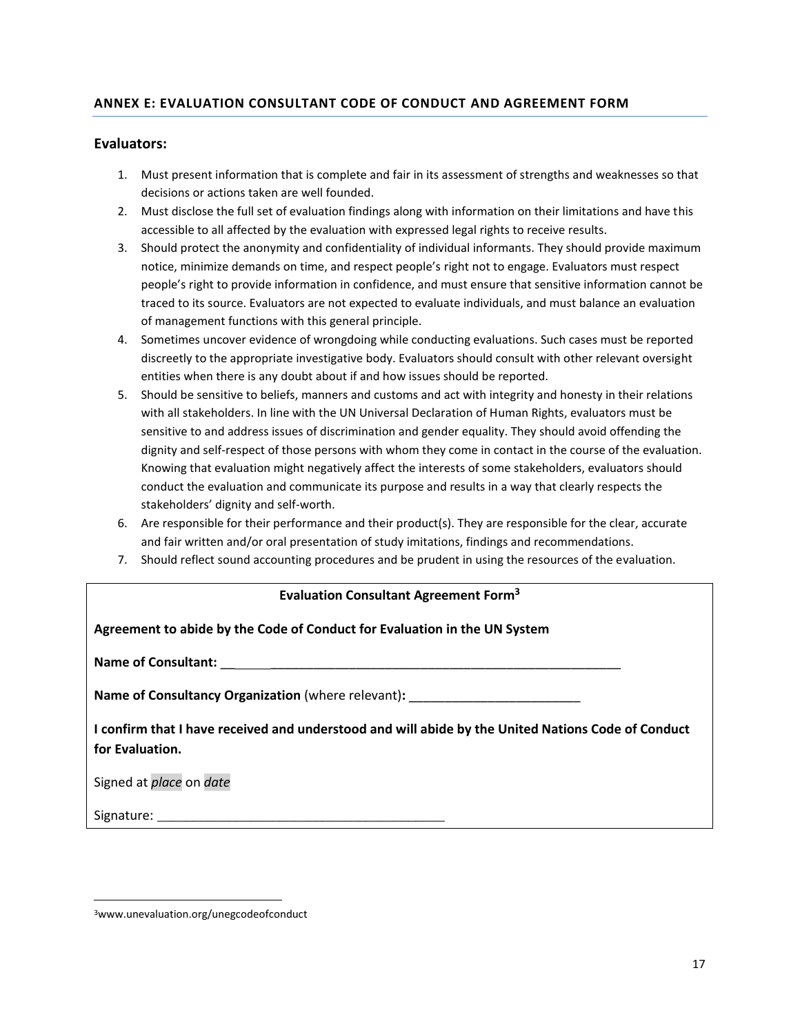# **ANNEX E: EVALUATION CONSULTANT CODE OF CONDUCT AND AGREEMENT FORM**

### **Evaluators:**

- 1. Must present information that is complete and fair in its assessment of strengths and weaknesses so that decisions or actions taken are well founded.
- 2. Must disclose the full set of evaluation findings along with information on their limitations and have this accessible to all affected by the evaluation with expressed legal rights to receive results.
- 3. Should protect the anonymity and confidentiality of individual informants. They should provide maximum notice, minimize demands on time, and respect people's right not to engage. Evaluators must respect people's right to provide information in confidence, and must ensure that sensitive information cannot be traced to its source. Evaluators are not expected to evaluate individuals, and must balance an evaluation of management functions with this general principle.
- 4. Sometimes uncover evidence of wrongdoing while conducting evaluations. Such cases must be reported discreetly to the appropriate investigative body. Evaluators should consult with other relevant oversight entities when there is any doubt about if and how issues should be reported.
- 5. Should be sensitive to beliefs, manners and customs and act with integrity and honesty in their relations with all stakeholders. In line with the UN Universal Declaration of Human Rights, evaluators must be sensitive to and address issues of discrimination and gender equality. They should avoid offending the dignity and self-respect of those persons with whom they come in contact in the course of the evaluation. Knowing that evaluation might negatively affect the interests of some stakeholders, evaluators should conduct the evaluation and communicate its purpose and results in a way that clearly respects the stakeholders' dignity and self-worth.
- 6. Are responsible for their performance and their product(s). They are responsible for the clear, accurate and fair written and/or oral presentation of study imitations, findings and recommendations.
- 7. Should reflect sound accounting procedures and be prudent in using the resources of the evaluation.

| <b>Evaluation Consultant Agreement Form<sup>3</sup></b>                                                               |  |  |  |  |
|-----------------------------------------------------------------------------------------------------------------------|--|--|--|--|
| Agreement to abide by the Code of Conduct for Evaluation in the UN System                                             |  |  |  |  |
|                                                                                                                       |  |  |  |  |
| <b>Name of Consultancy Organization</b> (where relevant):                                                             |  |  |  |  |
| I confirm that I have received and understood and will abide by the United Nations Code of Conduct<br>for Evaluation. |  |  |  |  |
| Signed at place on date                                                                                               |  |  |  |  |
| Signature:                                                                                                            |  |  |  |  |

<sup>3</sup>www.unevaluation.org/unegcodeofconduct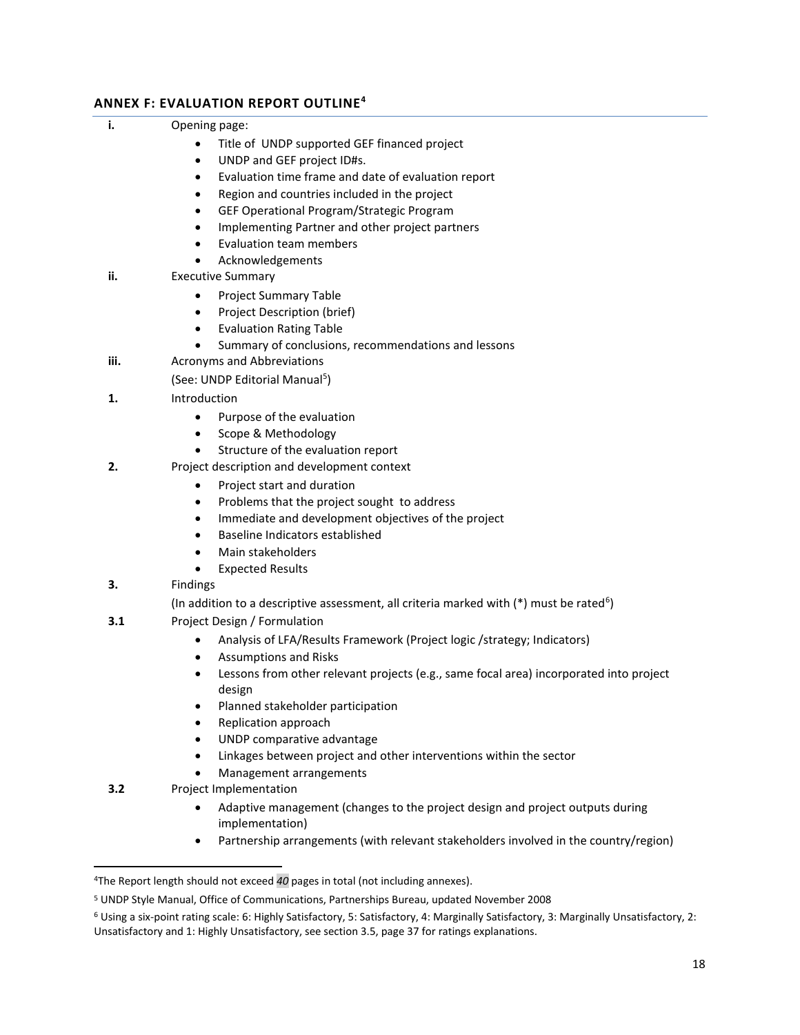## **ANNEX F: EVALUATION REPORT OUTLINE<sup>4</sup>**

- Title of UNDP supported GEF financed project
- UNDP and GEF project ID#s.
- Evaluation time frame and date of evaluation report
- Region and countries included in the project
- GEF Operational Program/Strategic Program
- Implementing Partner and other project partners
- Evaluation team members
- Acknowledgements
- **ii.** Executive Summary
	- Project Summary Table
	- Project Description (brief)
	- Evaluation Rating Table
	- Summary of conclusions, recommendations and lessons
- **iii.** Acronyms and Abbreviations

(See: UNDP Editorial Manual<sup>5</sup>)

- **1.** Introduction
	- Purpose of the evaluation
	- Scope & Methodology
	- Structure of the evaluation report
- **2.** Project description and development context
	- Project start and duration
	- Problems that the project sought to address
	- Immediate and development objectives of the project
	- Baseline Indicators established
	- Main stakeholders
	- Expected Results
- **3.** Findings
- (In addition to a descriptive assessment, all criteria marked with  $(*)$  must be rated<sup>6</sup>)
- **3.1** Project Design / Formulation
	- Analysis of LFA/Results Framework (Project logic /strategy; Indicators)
	- Assumptions and Risks
	- Lessons from other relevant projects (e.g., same focal area) incorporated into project design
	- Planned stakeholder participation
	- Replication approach
	- UNDP comparative advantage
	- Linkages between project and other interventions within the sector
	- Management arrangements
- **3.2** Project Implementation
	- Adaptive management (changes to the project design and project outputs during implementation)
	- Partnership arrangements (with relevant stakeholders involved in the country/region)

<sup>4</sup>The Report length should not exceed *40* pages in total (not including annexes).

<sup>5</sup> UNDP Style Manual, Office of Communications, Partnerships Bureau, updated November 2008

<sup>6</sup> Using a six-point rating scale: 6: Highly Satisfactory, 5: Satisfactory, 4: Marginally Satisfactory, 3: Marginally Unsatisfactory, 2: Unsatisfactory and 1: Highly Unsatisfactory, see section 3.5, page 37 for ratings explanations.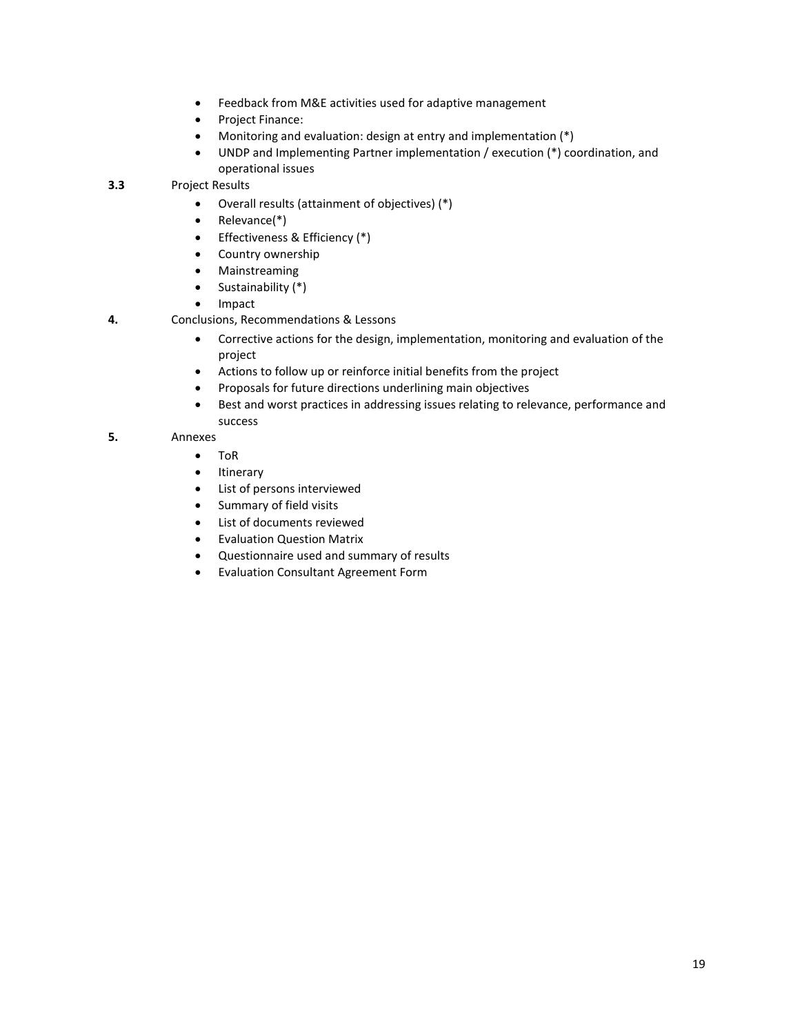- Feedback from M&E activities used for adaptive management
- Project Finance:
- Monitoring and evaluation: design at entry and implementation (\*)
- UNDP and Implementing Partner implementation / execution (\*) coordination, and operational issues

**3.3** Project Results

- Overall results (attainment of objectives) (\*)
- Relevance(\*)
- Effectiveness & Efficiency (\*)
- Country ownership
- Mainstreaming
- Sustainability (\*)
- Impact
- **4.** Conclusions, Recommendations & Lessons
	- Corrective actions for the design, implementation, monitoring and evaluation of the project
	- Actions to follow up or reinforce initial benefits from the project
	- Proposals for future directions underlining main objectives
	- Best and worst practices in addressing issues relating to relevance, performance and success

#### **5.** Annexes

- ToR
- Itinerary
- List of persons interviewed
- Summary of field visits
- List of documents reviewed
- Evaluation Question Matrix
- Questionnaire used and summary of results
- Evaluation Consultant Agreement Form